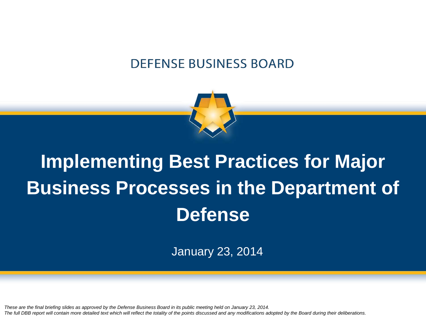#### **DEFENSE BUSINESS BOARD**



# **Implementing Best Practices for Major Business Processes in the Department of Defense**

January 23, 2014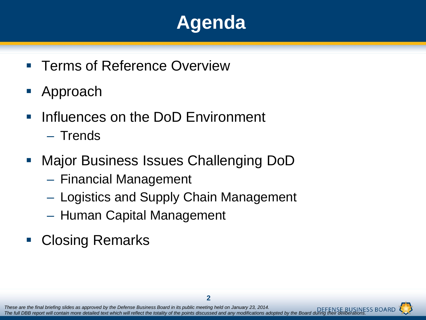# **Agenda**

- **Terms of Reference Overview**
- Approach
- Influences on the DoD Environment
	- Trends
- Major Business Issues Challenging DoD
	- Financial Management
	- Logistics and Supply Chain Management
	- Human Capital Management
- **Closing Remarks**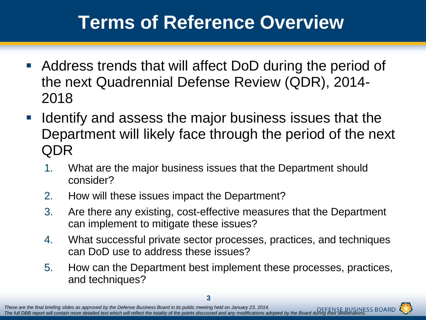# **Terms of Reference Overview**

- Address trends that will affect DoD during the period of the next Quadrennial Defense Review (QDR), 2014- 2018
- **If Identify and assess the major business issues that the** Department will likely face through the period of the next QDR
	- 1. What are the major business issues that the Department should consider?
	- 2. How will these issues impact the Department?
	- 3. Are there any existing, cost-effective measures that the Department can implement to mitigate these issues?
	- 4. What successful private sector processes, practices, and techniques can DoD use to address these issues?
	- 5. How can the Department best implement these processes, practices, and techniques?

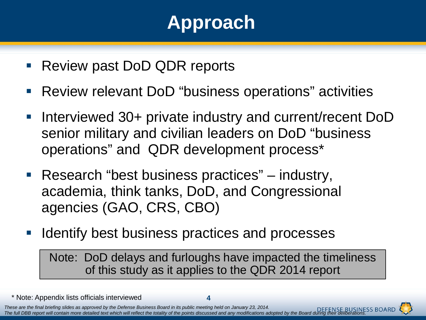# **Approach**

- Review past DoD QDR reports
- Review relevant DoD "business operations" activities
- Interviewed 30+ private industry and current/recent DoD senior military and civilian leaders on DoD "business operations" and QDR development process\*
- Research "best business practices" industry, academia, think tanks, DoD, and Congressional agencies (GAO, CRS, CBO)
- Identify best business practices and processes

Note: DoD delays and furloughs have impacted the timeliness of this study as it applies to the QDR 2014 report

\* Note: Appendix lists officials interviewed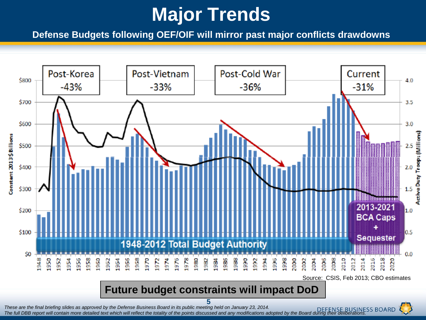# **Major Trends**

**Defense Budgets following OEF/OIF will mirror past major conflicts drawdowns** 

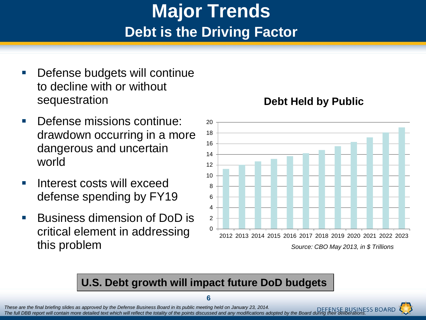### **Major Trends Debt is the Driving Factor**

- Defense budgets will continue to decline with or without sequestration
- Defense missions continue: drawdown occurring in a more dangerous and uncertain world
- **Interest costs will exceed** defense spending by FY19
- Business dimension of DoD is critical element in addressing this problem

#### **Debt Held by Public**



#### **U.S. Debt growth will impact future DoD budgets**



**<sup>6</sup>**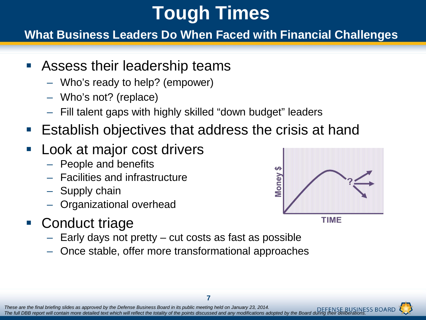# **Tough Times**

**What Business Leaders Do When Faced with Financial Challenges**

- Assess their leadership teams
	- Who's ready to help? (empower)
	- Who's not? (replace)
	- Fill talent gaps with highly skilled "down budget" leaders
- Establish objectives that address the crisis at hand
- Look at major cost drivers
	- People and benefits
	- Facilities and infrastructure
	- Supply chain
	- Organizational overhead
- Conduct triage
	- Early days not pretty cut costs as fast as possible
	- Once stable, offer more transformational approaches



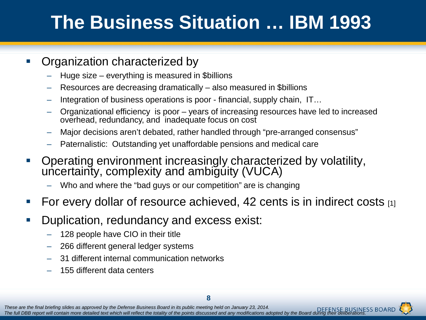# **The Business Situation … IBM 1993**

#### Organization characterized by

- Huge size everything is measured in \$billions
- Resources are decreasing dramatically also measured in \$billions
- Integration of business operations is poor financial, supply chain, IT…
- Organizational efficiency is poor years of increasing resources have led to increased overhead, redundancy, and inadequate focus on cost
- Major decisions aren't debated, rather handled through "pre-arranged consensus"
- Paternalistic: Outstanding yet unaffordable pensions and medical care
- **-** Operating environment increasingly characterized by volatility, uncertainty, complexity and ambiguity (VUCA)
	- Who and where the "bad guys or our competition" are is changing
- For every dollar of resource achieved, 42 cents is in indirect costs  $[1]$
- **Duplication, redundancy and excess exist:** 
	- 128 people have CIO in their title
	- 266 different general ledger systems
	- 31 different internal communication networks
	- 155 different data centers

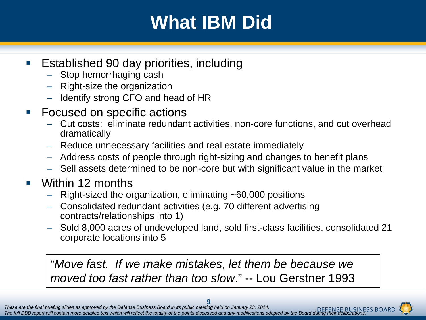# **What IBM Did**

- Established 90 day priorities, including
	- Stop hemorrhaging cash
	- Right-size the organization
	- Identify strong CFO and head of HR
- **Focused on specific actions** 
	- Cut costs: eliminate redundant activities, non-core functions, and cut overhead dramatically
	- Reduce unnecessary facilities and real estate immediately
	- Address costs of people through right-sizing and changes to benefit plans
	- Sell assets determined to be non-core but with significant value in the market
- Within 12 months
	- Right-sized the organization, eliminating ~60,000 positions
	- Consolidated redundant activities (e.g. 70 different advertising contracts/relationships into 1)
	- Sold 8,000 acres of undeveloped land, sold first-class facilities, consolidated 21 corporate locations into 5

"*Move fast. If we make mistakes, let them be because we moved too fast rather than too slow*." -- Lou Gerstner 1993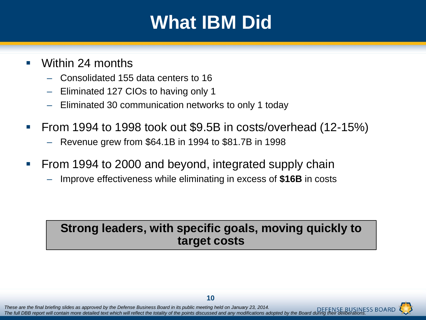# **What IBM Did**

- **Nithin 24 months** 
	- Consolidated 155 data centers to 16
	- Eliminated 127 CIOs to having only 1
	- Eliminated 30 communication networks to only 1 today
- From 1994 to 1998 took out  $$9.5B$  in costs/overhead (12-15%)
	- Revenue grew from \$64.1B in 1994 to \$81.7B in 1998
- **Figme 1994 to 2000 and beyond, integrated supply chain** 
	- Improve effectiveness while eliminating in excess of **\$16B** in costs

#### **Strong leaders, with specific goals, moving quickly to target costs**

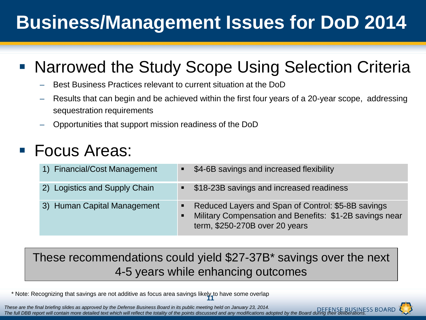# **Business/Management Issues for DoD 2014**

#### ■ Narrowed the Study Scope Using Selection Criteria

- Best Business Practices relevant to current situation at the DoD
- Results that can begin and be achieved within the first four years of a 20-year scope, addressing sequestration requirements
- Opportunities that support mission readiness of the DoD

#### Focus Areas:

| 1) Financial/Cost Management  | \$4-6B savings and increased flexibility                                                                                                        |
|-------------------------------|-------------------------------------------------------------------------------------------------------------------------------------------------|
| 2) Logistics and Supply Chain | \$18-23B savings and increased readiness                                                                                                        |
| 3) Human Capital Management   | Reduced Layers and Span of Control: \$5-8B savings<br>Military Compensation and Benefits: \$1-2B savings near<br>term, \$250-270B over 20 years |

#### These recommendations could yield \$27-37B\* savings over the next 4-5 years while enhancing outcomes

\* Note: Recognizing that savings are not additive as focus area savings likely to have some overlap **11**

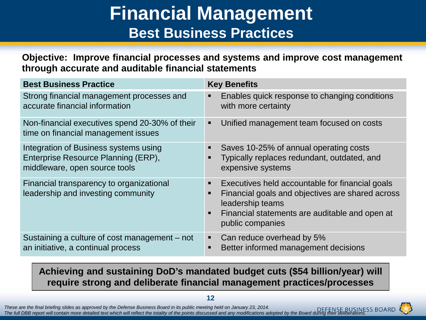### **Financial Management Best Business Practices**

**Objective: Improve financial processes and systems and improve cost management through accurate and auditable financial statements**

| <b>Best Business Practice</b>                                                                                 | <b>Key Benefits</b>                                                                                                                                                                                                                    |
|---------------------------------------------------------------------------------------------------------------|----------------------------------------------------------------------------------------------------------------------------------------------------------------------------------------------------------------------------------------|
| Strong financial management processes and<br>accurate financial information                                   | Enables quick response to changing conditions<br>$\blacksquare$<br>with more certainty                                                                                                                                                 |
| Non-financial executives spend 20-30% of their<br>time on financial management issues                         | Unified management team focused on costs<br>٠                                                                                                                                                                                          |
| Integration of Business systems using<br>Enterprise Resource Planning (ERP),<br>middleware, open source tools | Saves 10-25% of annual operating costs<br>п<br>Typically replaces redundant, outdated, and<br>п<br>expensive systems                                                                                                                   |
| Financial transparency to organizational<br>leadership and investing community                                | Executives held accountable for financial goals<br>п<br>Financial goals and objectives are shared across<br>$\blacksquare$<br>leadership teams<br>Financial statements are auditable and open at<br>$\blacksquare$<br>public companies |
| Sustaining a culture of cost management – not<br>an initiative, a continual process                           | Can reduce overhead by 5%<br>Better informed management decisions<br>٠                                                                                                                                                                 |

**Achieving and sustaining DoD's mandated budget cuts (\$54 billion/year) will require strong and deliberate financial management practices/processes**

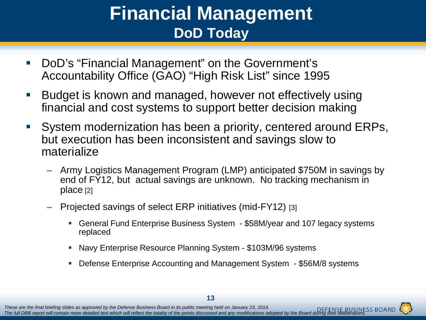### **Financial Management DoD Today**

- DoD's "Financial Management" on the Government's Accountability Office (GAO) "High Risk List" since 1995
- Budget is known and managed, however not effectively using financial and cost systems to support better decision making
- System modernization has been a priority, centered around ERPs, but execution has been inconsistent and savings slow to materialize
	- Army Logistics Management Program (LMP) anticipated \$750M in savings by end of FY12, but actual savings are unknown. No tracking mechanism in place [2]
	- Projected savings of select ERP initiatives (mid-FY12) [3]
		- General Fund Enterprise Business System \$58M/year and 107 legacy systems replaced
		- Navy Enterprise Resource Planning System \$103M/96 systems
		- Defense Enterprise Accounting and Management System \$56M/8 systems

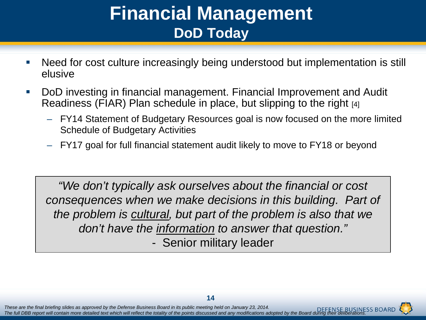### **Financial Management DoD Today**

- Need for cost culture increasingly being understood but implementation is still elusive
- DoD investing in financial management. Financial Improvement and Audit Readiness (FIAR) Plan schedule in place, but slipping to the right [4]
	- FY14 Statement of Budgetary Resources goal is now focused on the more limited Schedule of Budgetary Activities
	- FY17 goal for full financial statement audit likely to move to FY18 or beyond

*"We don't typically ask ourselves about the financial or cost consequences when we make decisions in this building. Part of the problem is cultural, but part of the problem is also that we don't have the information to answer that question."*  - Senior military leader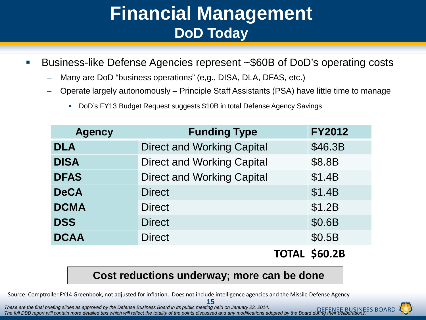### **Financial Management DoD Today**

- Business-like Defense Agencies represent ~\$60B of DoD's operating costs
	- Many are DoD "business operations" (e,g., DISA, DLA, DFAS, etc.)
	- Operate largely autonomously Principle Staff Assistants (PSA) have little time to manage
		- DoD's FY13 Budget Request suggests \$10B in total Defense Agency Savings

| <b>Agency</b> | <b>Funding Type</b>               | <b>FY2012</b> |
|---------------|-----------------------------------|---------------|
| <b>DLA</b>    | <b>Direct and Working Capital</b> | \$46.3B       |
| <b>DISA</b>   | <b>Direct and Working Capital</b> | \$8.8B        |
| <b>DFAS</b>   | <b>Direct and Working Capital</b> | \$1.4B        |
| <b>DeCA</b>   | <b>Direct</b>                     | \$1.4B        |
| <b>DCMA</b>   | <b>Direct</b>                     | \$1.2B        |
| <b>DSS</b>    | <b>Direct</b>                     | \$0.6B        |
| <b>DCAA</b>   | <b>Direct</b>                     | \$0.5B        |
|               |                                   |               |

#### **TOTAL \$60.2B**

#### **Cost reductions underway; more can be done**

Source: Comptroller FY14 Greenbook, not adjusted for inflation. Does not include intelligence agencies and the Missile Defense Agency



**<sup>15</sup>**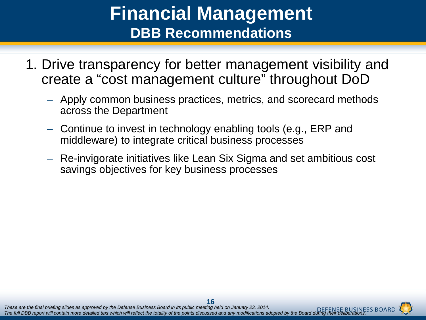### **Financial Management DBB Recommendations**

- 1. Drive transparency for better management visibility and create a "cost management culture" throughout DoD
	- Apply common business practices, metrics, and scorecard methods across the Department
	- Continue to invest in technology enabling tools (e.g., ERP and middleware) to integrate critical business processes
	- Re-invigorate initiatives like Lean Six Sigma and set ambitious cost savings objectives for key business processes

*These are the final briefing slides as approved by the Defense Business Board in its public meeting held on January 23, 2014. The full DBB report will contain more detailed text which will reflect the totality of the points discussed and any modifications adopted by the Board during their deliberations.* **16**<br>These are the final briefing slides as approved by the Defense Business Board in its public meeting held on January 23, 2014.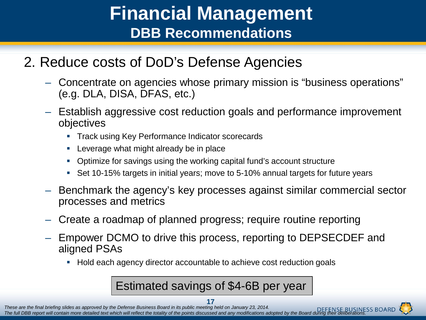### **Financial Management DBB Recommendations**

#### 2. Reduce costs of DoD's Defense Agencies

- Concentrate on agencies whose primary mission is "business operations" (e.g. DLA, DISA, DFAS, etc.)
- Establish aggressive cost reduction goals and performance improvement objectives
	- **Track using Key Performance Indicator scorecards**
	- **EXEC** Leverage what might already be in place
	- Optimize for savings using the working capital fund's account structure
	- Set 10-15% targets in initial years; move to 5-10% annual targets for future years
- Benchmark the agency's key processes against similar commercial sector processes and metrics
- Create a roadmap of planned progress; require routine reporting
- Empower DCMO to drive this process, reporting to DEPSECDEF and aligned PSAs
	- Hold each agency director accountable to achieve cost reduction goals

Estimated savings of \$4-6B per year

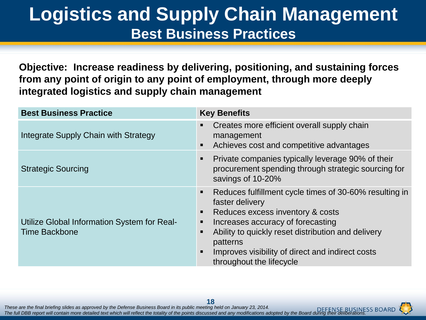### **Logistics and Supply Chain Management Best Business Practices**

**Objective: Increase readiness by delivering, positioning, and sustaining forces from any point of origin to any point of employment, through more deeply integrated logistics and supply chain management**

| <b>Best Business Practice</b>                                       | <b>Key Benefits</b>                                                                                                                                                                                                                                                                                       |
|---------------------------------------------------------------------|-----------------------------------------------------------------------------------------------------------------------------------------------------------------------------------------------------------------------------------------------------------------------------------------------------------|
| Integrate Supply Chain with Strategy                                | Creates more efficient overall supply chain<br>management<br>Achieves cost and competitive advantages<br>$\blacksquare$                                                                                                                                                                                   |
| <b>Strategic Sourcing</b>                                           | Private companies typically leverage 90% of their<br>п<br>procurement spending through strategic sourcing for<br>savings of 10-20%                                                                                                                                                                        |
| Utilize Global Information System for Real-<br><b>Time Backbone</b> | Reduces fulfillment cycle times of 30-60% resulting in<br>faster delivery<br>Reduces excess inventory & costs<br>п<br>Increases accuracy of forecasting<br>Ability to quickly reset distribution and delivery<br>patterns<br>Improves visibility of direct and indirect costs<br>throughout the lifecycle |

*These are the final briefing slides as approved by the Defense Business Board in its public meeting held on January 23, 2014. The full DBB report will contain more detailed text which will reflect the totality of the points discussed and any modifications adopted by the Board during their deliberations.* <sup>18</sup><br>These are the final briefing slides as approved by the Defense Business Board in its public meeting held on January 23, 2014.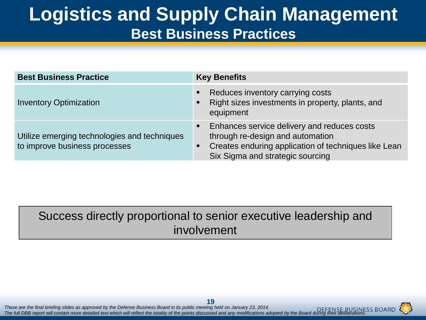### **Logistics and Supply Chain Management Best Business Practices**

| <b>Best Business Practice</b>                                                 | <b>Key Benefits</b>                                                                                                                                                         |
|-------------------------------------------------------------------------------|-----------------------------------------------------------------------------------------------------------------------------------------------------------------------------|
| <b>Inventory Optimization</b>                                                 | Reduces inventory carrying costs<br>Right sizes investments in property, plants, and<br>equipment                                                                           |
| Utilize emerging technologies and techniques<br>to improve business processes | Enhances service delivery and reduces costs<br>through re-design and automation<br>Creates enduring application of techniques like Lean<br>Six Sigma and strategic sourcing |

#### Success directly proportional to senior executive leadership and involvement

*These are the final briefing slides as approved by the Defense Business Board in its public meeting held on January 23, 2014. The full DBB report will contain more detailed text which will reflect the totality of the points discussed and any modifications adopted by the Board during their deliberations.* <sup>19</sup> These are the final briefing slides as approved by the Defense Business Board in its public meeting held on January 23, 2014.

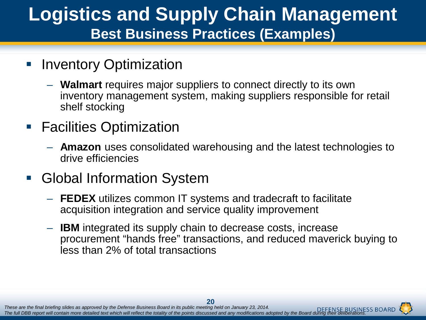### **Logistics and Supply Chain Management Best Business Practices (Examples)**

- **Inventory Optimization** 
	- **Walmart** requires major suppliers to connect directly to its own inventory management system, making suppliers responsible for retail shelf stocking
- **Facilities Optimization** 
	- **Amazon** uses consolidated warehousing and the latest technologies to drive efficiencies
- Global Information System
	- **FEDEX** utilizes common IT systems and tradecraft to facilitate acquisition integration and service quality improvement
	- **IBM** integrated its supply chain to decrease costs, increase procurement "hands free" transactions, and reduced maverick buying to less than 2% of total transactions

*These are the final briefing slides as approved by the Defense Business Board in its public meeting held on January 23, 2014. The full DBB report will contain more detailed text which will reflect the totality of the points discussed and any modifications adopted by the Board during their deliberations.* **20**<br>These are the final briefing slides as approved by the Defense Business Board in its public meeting held on January 23, 2014.

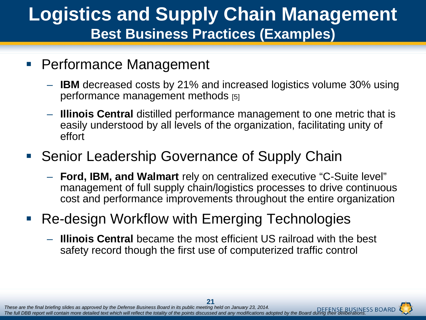### **Logistics and Supply Chain Management Best Business Practices (Examples)**

- **Performance Management** 
	- **IBM** decreased costs by 21% and increased logistics volume 30% using performance management methods [5]
	- **Illinois Central** distilled performance management to one metric that is easily understood by all levels of the organization, facilitating unity of effort

#### • Senior Leadership Governance of Supply Chain

- **Ford, IBM, and Walmart** rely on centralized executive "C-Suite level" management of full supply chain/logistics processes to drive continuous cost and performance improvements throughout the entire organization
- Re-design Workflow with Emerging Technologies
	- **Illinois Central** became the most efficient US railroad with the best safety record though the first use of computerized traffic control

*These are the final briefing slides as approved by the Defense Business Board in its public meeting held on January 23, 2014. The full DBB report will contain more detailed text which will reflect the totality of the points discussed and any modifications adopted by the Board during their deliberations.* These are the final briefing slides as approved by the Defense Business Board in its public meeting held on January 23, 2014.

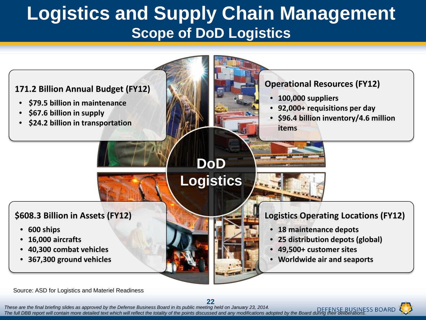### **Logistics and Supply Chain Management Scope of DoD Logistics**



Source: ASD for Logistics and Materiel Readiness

*These are the final briefing slides as approved by the Defense Business Board in its public meeting held on January 23, 2014. The full DBB report will contain more detailed text which will reflect the totality of the points discussed and any modifications adopted by the Board during their deliberations.* These are the final briefing slides as approved by the Defense Business Board in its public meeting held on January 23, 2014.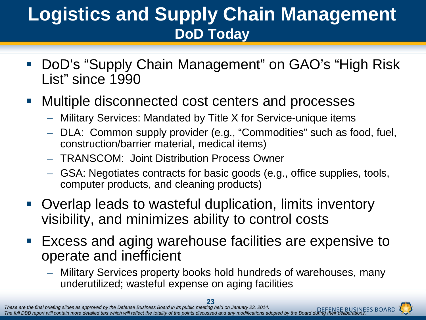### **Logistics and Supply Chain Management DoD Today**

- DoD's "Supply Chain Management" on GAO's "High Risk List" since 1990
- Multiple disconnected cost centers and processes
	- Military Services: Mandated by Title X for Service-unique items
	- DLA: Common supply provider (e.g., "Commodities" such as food, fuel, construction/barrier material, medical items)
	- TRANSCOM: Joint Distribution Process Owner
	- GSA: Negotiates contracts for basic goods (e.g., office supplies, tools, computer products, and cleaning products)
- Overlap leads to wasteful duplication, limits inventory visibility, and minimizes ability to control costs
- Excess and aging warehouse facilities are expensive to operate and inefficient
	- Military Services property books hold hundreds of warehouses, many underutilized; wasteful expense on aging facilities

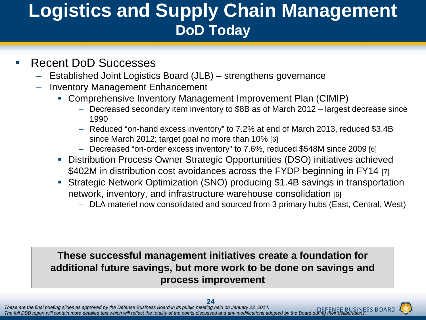### **Logistics and Supply Chain Management DoD Today**

#### Recent DoD Successes

- Established Joint Logistics Board (JLB) strengthens governance
- Inventory Management Enhancement
	- Comprehensive Inventory Management Improvement Plan (CIMIP)
		- Decreased secondary item inventory to \$8B as of March 2012 largest decrease since 1990
		- Reduced "on-hand excess inventory" to 7.2% at end of March 2013, reduced \$3.4B since March 2012; target goal no more than 10% [6]
		- Decreased "on-order excess inventory" to 7.6%, reduced \$548M since 2009 [6]
	- Distribution Process Owner Strategic Opportunities (DSO) initiatives achieved \$402M in distribution cost avoidances across the FYDP beginning in FY14 [7]
	- Strategic Network Optimization (SNO) producing \$1.4B savings in transportation network, inventory, and infrastructure warehouse consolidation [6]
		- DLA materiel now consolidated and sourced from 3 primary hubs (East, Central, West)

#### **These successful management initiatives create a foundation for additional future savings, but more work to be done on savings and process improvement**

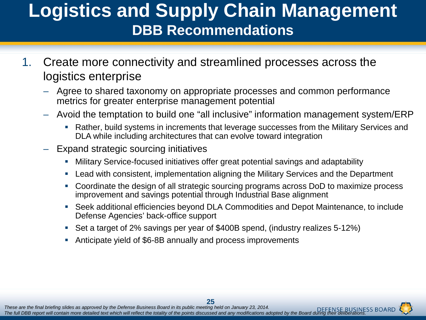### **Logistics and Supply Chain Management DBB Recommendations**

- 1. Create more connectivity and streamlined processes across the logistics enterprise
	- Agree to shared taxonomy on appropriate processes and common performance metrics for greater enterprise management potential
	- Avoid the temptation to build one "all inclusive" information management system/ERP
		- Rather, build systems in increments that leverage successes from the Military Services and DLA while including architectures that can evolve toward integration
	- Expand strategic sourcing initiatives
		- Military Service-focused initiatives offer great potential savings and adaptability
		- Lead with consistent, implementation aligning the Military Services and the Department
		- Coordinate the design of all strategic sourcing programs across DoD to maximize process improvement and savings potential through Industrial Base alignment
		- Seek additional efficiencies beyond DLA Commodities and Depot Maintenance, to include Defense Agencies' back-office support
		- Set a target of 2% savings per year of \$400B spend, (industry realizes 5-12%)
		- Anticipate yield of \$6-8B annually and process improvements

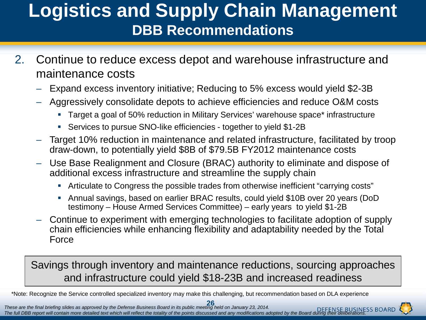### **Logistics and Supply Chain Management DBB Recommendations**

- 2. Continue to reduce excess depot and warehouse infrastructure and maintenance costs
	- Expand excess inventory initiative; Reducing to 5% excess would yield \$2-3B
	- Aggressively consolidate depots to achieve efficiencies and reduce O&M costs
		- **Target a goal of 50% reduction in Military Services' warehouse space\* infrastructure**
		- Services to pursue SNO-like efficiencies together to yield \$1-2B
	- Target 10% reduction in maintenance and related infrastructure, facilitated by troop draw-down, to potentially yield \$8B of \$79.5B FY2012 maintenance costs
	- Use Base Realignment and Closure (BRAC) authority to eliminate and dispose of additional excess infrastructure and streamline the supply chain
		- Articulate to Congress the possible trades from otherwise inefficient "carrying costs"
		- Annual savings, based on earlier BRAC results, could yield \$10B over 20 years (DoD testimony – House Armed Services Committee) – early years to yield \$1-2B
	- Continue to experiment with emerging technologies to facilitate adoption of supply chain efficiencies while enhancing flexibility and adaptability needed by the Total Force

Savings through inventory and maintenance reductions, sourcing approaches and infrastructure could yield \$18-23B and increased readiness

\*Note: Recognize the Service controlled specialized inventory may make this challenging, but recommendation based on DLA experience

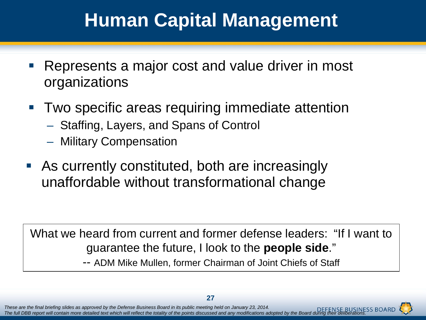# **Human Capital Management**

- Represents a major cost and value driver in most organizations
- Two specific areas requiring immediate attention
	- Staffing, Layers, and Spans of Control
	- Military Compensation
- As currently constituted, both are increasingly unaffordable without transformational change

What we heard from current and former defense leaders: "If I want to guarantee the future, I look to the **people side**."

-- ADM Mike Mullen, former Chairman of Joint Chiefs of Staff



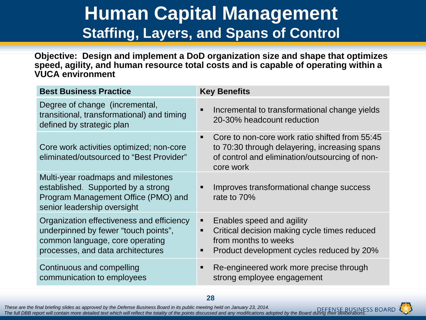### **Human Capital Management Staffing, Layers, and Spans of Control**

**Objective: Design and implement a DoD organization size and shape that optimizes speed, agility, and human resource total costs and is capable of operating within a VUCA environment**

| <b>Best Business Practice</b>                                                                                                                             | <b>Key Benefits</b>                                                                                                                                              |
|-----------------------------------------------------------------------------------------------------------------------------------------------------------|------------------------------------------------------------------------------------------------------------------------------------------------------------------|
| Degree of change (incremental,<br>transitional, transformational) and timing<br>defined by strategic plan                                                 | Incremental to transformational change yields<br>20-30% headcount reduction                                                                                      |
| Core work activities optimized; non-core<br>eliminated/outsourced to "Best Provider"                                                                      | Core to non-core work ratio shifted from 55:45<br>to 70:30 through delayering, increasing spans<br>of control and elimination/outsourcing of non-<br>core work   |
| Multi-year roadmaps and milestones<br>established. Supported by a strong<br>Program Management Office (PMO) and<br>senior leadership oversight            | Improves transformational change success<br>rate to 70%                                                                                                          |
| Organization effectiveness and efficiency<br>underpinned by fewer "touch points",<br>common language, core operating<br>processes, and data architectures | Enables speed and agility<br>Critical decision making cycle times reduced<br>$\blacksquare$<br>from months to weeks<br>Product development cycles reduced by 20% |
| Continuous and compelling<br>communication to employees                                                                                                   | Re-engineered work more precise through<br>strong employee engagement                                                                                            |

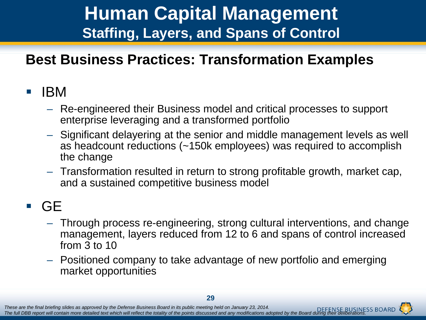### **Human Capital Management Staffing, Layers, and Spans of Control**

#### **Best Business Practices: Transformation Examples**

#### $\blacksquare$  IBM

- Re-engineered their Business model and critical processes to support enterprise leveraging and a transformed portfolio
- Significant delayering at the senior and middle management levels as well as headcount reductions (~150k employees) was required to accomplish the change
- Transformation resulted in return to strong profitable growth, market cap, and a sustained competitive business model

#### GE

- Through process re-engineering, strong cultural interventions, and change management, layers reduced from 12 to 6 and spans of control increased from 3 to 10
- Positioned company to take advantage of new portfolio and emerging market opportunities

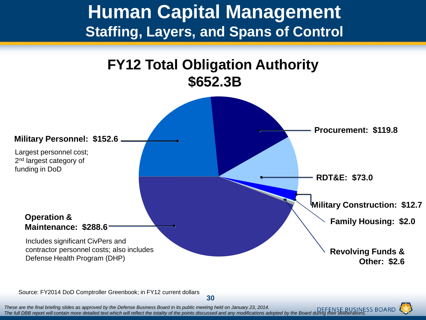#### **Human Capital Management Staffing, Layers, and Spans of Control**



Source: FY2014 DoD Comptroller Greenbook; in FY12 current dollars

*These are the final briefing slides as approved by the Defense Business Board in its public meeting held on January 23, 2014.* The full DBB report will contain more detailed text which will reflect the totality of the points discussed and any modifications adopted by the Board during their deliberations.

**30**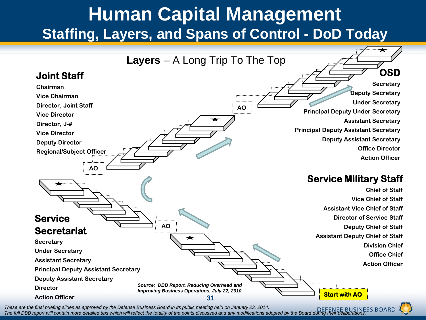### **Human Capital Management Staffing, Layers, and Spans of Control - DoD Today**

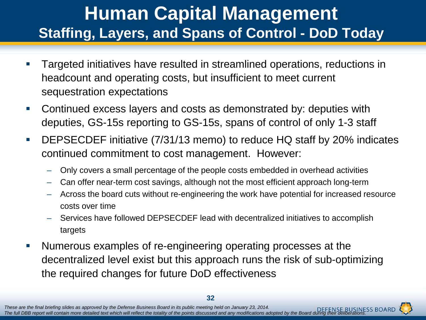### **Human Capital Management Staffing, Layers, and Spans of Control - DoD Today**

- Targeted initiatives have resulted in streamlined operations, reductions in headcount and operating costs, but insufficient to meet current sequestration expectations
- Continued excess layers and costs as demonstrated by: deputies with deputies, GS-15s reporting to GS-15s, spans of control of only 1-3 staff
- DEPSECDEF initiative (7/31/13 memo) to reduce HQ staff by 20% indicates continued commitment to cost management. However:
	- Only covers a small percentage of the people costs embedded in overhead activities
	- Can offer near-term cost savings, although not the most efficient approach long-term
	- Across the board cuts without re-engineering the work have potential for increased resource costs over time
	- Services have followed DEPSECDEF lead with decentralized initiatives to accomplish targets
- Numerous examples of re-engineering operating processes at the decentralized level exist but this approach runs the risk of sub-optimizing the required changes for future DoD effectiveness

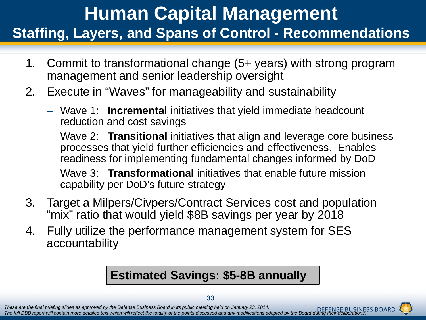### **Human Capital Management Staffing, Layers, and Spans of Control - Recommendations**

- 1. Commit to transformational change (5+ years) with strong program management and senior leadership oversight
- 2. Execute in "Waves" for manageability and sustainability
	- Wave 1: **Incremental** initiatives that yield immediate headcount reduction and cost savings
	- Wave 2: **Transitional** initiatives that align and leverage core business processes that yield further efficiencies and effectiveness. Enables readiness for implementing fundamental changes informed by DoD
	- Wave 3: **Transformational** initiatives that enable future mission capability per DoD's future strategy
- 3. Target a Milpers/Civpers/Contract Services cost and population "mix" ratio that would yield \$8B savings per year by 2018
- 4. Fully utilize the performance management system for SES accountability

#### **Estimated Savings: \$5-8B annually**

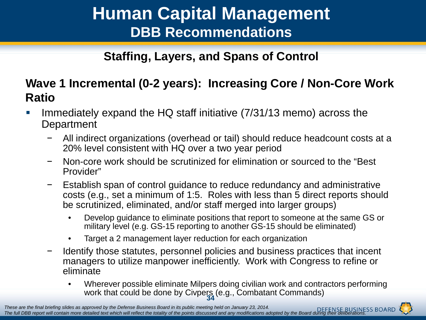#### **Human Capital Management DBB Recommendations**

**Staffing, Layers, and Spans of Control**

#### **Wave 1 Incremental (0-2 years): Increasing Core / Non-Core Work Ratio**

- Immediately expand the HQ staff initiative (7/31/13 memo) across the **Department** 
	- − All indirect organizations (overhead or tail) should reduce headcount costs at a 20% level consistent with HQ over a two year period
	- − Non-core work should be scrutinized for elimination or sourced to the "Best Provider"
	- − Establish span of control guidance to reduce redundancy and administrative costs (e.g., set a minimum of 1:5. Roles with less than 5 direct reports should be scrutinized, eliminated, and/or staff merged into larger groups)
		- Develop guidance to eliminate positions that report to someone at the same GS or military level (e.g. GS-15 reporting to another GS-15 should be eliminated)
		- Target a 2 management layer reduction for each organization
	- − Identify those statutes, personnel policies and business practices that incent managers to utilize manpower inefficiently. Work with Congress to refine or eliminate
		- **34** • Wherever possible eliminate Milpers doing civilian work and contractors performing work that could be done by Civpers (e.g., Combatant Commands)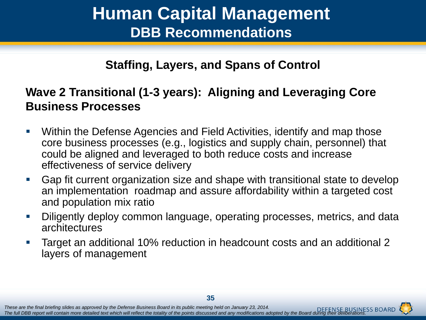#### **Human Capital Management DBB Recommendations**

#### **Staffing, Layers, and Spans of Control**

#### **Wave 2 Transitional (1-3 years): Aligning and Leveraging Core Business Processes**

- Within the Defense Agencies and Field Activities, identify and map those core business processes (e.g., logistics and supply chain, personnel) that could be aligned and leveraged to both reduce costs and increase effectiveness of service delivery
- Gap fit current organization size and shape with transitional state to develop an implementation roadmap and assure affordability within a targeted cost and population mix ratio
- Diligently deploy common language, operating processes, metrics, and data architectures
- Target an additional 10% reduction in headcount costs and an additional 2 layers of management

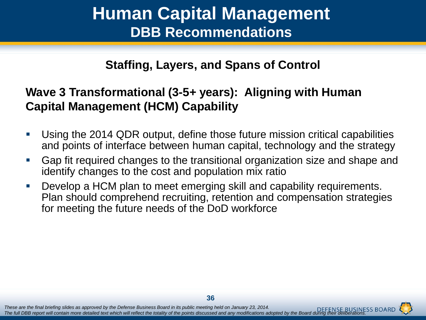#### **Human Capital Management DBB Recommendations**

#### **Staffing, Layers, and Spans of Control**

#### **Wave 3 Transformational (3-5+ years): Aligning with Human Capital Management (HCM) Capability**

- Using the 2014 QDR output, define those future mission critical capabilities and points of interface between human capital, technology and the strategy
- Gap fit required changes to the transitional organization size and shape and identify changes to the cost and population mix ratio
- Develop a HCM plan to meet emerging skill and capability requirements. Plan should comprehend recruiting, retention and compensation strategies for meeting the future needs of the DoD workforce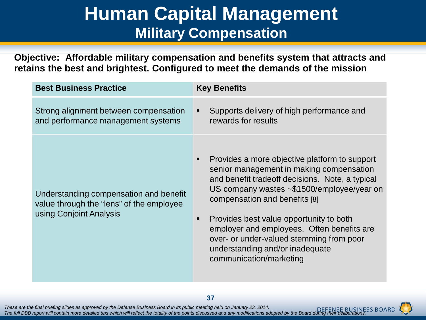#### **Human Capital Management Military Compensation**

**Objective: Affordable military compensation and benefits system that attracts and retains the best and brightest. Configured to meet the demands of the mission**

| <b>Best Business Practice</b>                                                                                 | <b>Key Benefits</b>                                                                                                                                                                                                                                                                                                                                                                                                                      |
|---------------------------------------------------------------------------------------------------------------|------------------------------------------------------------------------------------------------------------------------------------------------------------------------------------------------------------------------------------------------------------------------------------------------------------------------------------------------------------------------------------------------------------------------------------------|
| Strong alignment between compensation<br>and performance management systems                                   | Supports delivery of high performance and<br>٠<br>rewards for results                                                                                                                                                                                                                                                                                                                                                                    |
| Understanding compensation and benefit<br>value through the "lens" of the employee<br>using Conjoint Analysis | Provides a more objective platform to support<br>п<br>senior management in making compensation<br>and benefit tradeoff decisions. Note, a typical<br>US company wastes ~\$1500/employee/year on<br>compensation and benefits [8]<br>Provides best value opportunity to both<br>п<br>employer and employees. Often benefits are<br>over- or under-valued stemming from poor<br>understanding and/or inadequate<br>communication/marketing |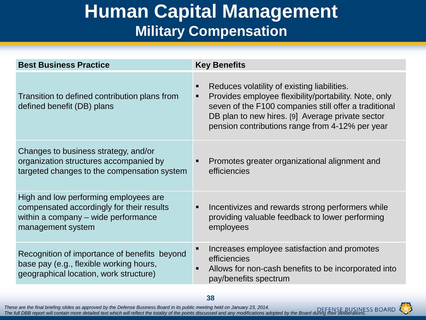### **Human Capital Management Military Compensation**

| <b>Best Business Practice</b>                                                                                                                  | <b>Key Benefits</b>                                                                                                                                                                                                                                                  |
|------------------------------------------------------------------------------------------------------------------------------------------------|----------------------------------------------------------------------------------------------------------------------------------------------------------------------------------------------------------------------------------------------------------------------|
| Transition to defined contribution plans from<br>defined benefit (DB) plans                                                                    | Reduces volatility of existing liabilities.<br>Provides employee flexibility/portability. Note, only<br>seven of the F100 companies still offer a traditional<br>DB plan to new hires. [9] Average private sector<br>pension contributions range from 4-12% per year |
| Changes to business strategy, and/or<br>organization structures accompanied by<br>targeted changes to the compensation system                  | Promotes greater organizational alignment and<br>efficiencies                                                                                                                                                                                                        |
| High and low performing employees are<br>compensated accordingly for their results<br>within a company – wide performance<br>management system | Incentivizes and rewards strong performers while<br>$\blacksquare$<br>providing valuable feedback to lower performing<br>employees                                                                                                                                   |
| Recognition of importance of benefits beyond<br>base pay (e.g., flexible working hours,<br>geographical location, work structure)              | Increases employee satisfaction and promotes<br>efficiencies<br>Allows for non-cash benefits to be incorporated into<br>$\blacksquare$<br>pay/benefits spectrum                                                                                                      |

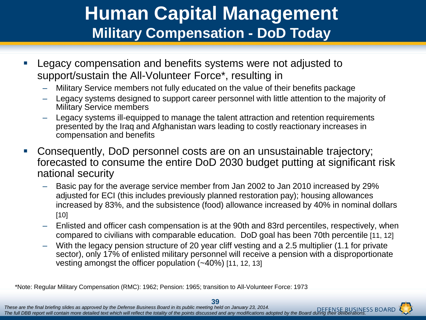### **Human Capital Management Military Compensation - DoD Today**

- **Legacy compensation and benefits systems were not adjusted to** support/sustain the All-Volunteer Force\*, resulting in
	- ‒ Military Service members not fully educated on the value of their benefits package
	- ‒ Legacy systems designed to support career personnel with little attention to the majority of Military Service members
	- ‒ Legacy systems ill-equipped to manage the talent attraction and retention requirements presented by the Iraq and Afghanistan wars leading to costly reactionary increases in compensation and benefits
- Consequently, DoD personnel costs are on an unsustainable trajectory; forecasted to consume the entire DoD 2030 budget putting at significant risk national security
	- ‒ Basic pay for the average service member from Jan 2002 to Jan 2010 increased by 29% adjusted for ECI (this includes previously planned restoration pay); housing allowances increased by 83%, and the subsistence (food) allowance increased by 40% in nominal dollars [10]
	- ‒ Enlisted and officer cash compensation is at the 90th and 83rd percentiles, respectively, when compared to civilians with comparable education. DoD goal has been 70th percentile [11, 12]
	- ‒ With the legacy pension structure of 20 year cliff vesting and a 2.5 multiplier (1.1 for private sector), only 17% of enlisted military personnel will receive a pension with a disproportionate vesting amongst the officer population (~40%) [11, 12, 13]

\*Note: Regular Military Compensation (RMC): 1962; Pension: 1965; transition to All-Volunteer Force: 1973

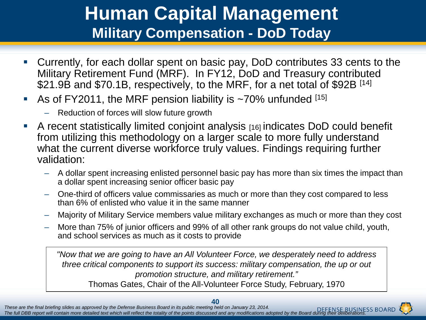### **Human Capital Management Military Compensation - DoD Today**

- Currently, for each dollar spent on basic pay, DoD contributes 33 cents to the Military Retirement Fund (MRF). In FY12, DoD and Treasury contributed \$21.9B and \$70.1B, respectively, to the MRF, for a net total of \$92B [14]
- As of FY2011, the MRF pension liability is  $\sim$ 70% unfunded  $^{[15]}$ 
	- Reduction of forces will slow future growth
- A recent statistically limited conjoint analysis [16] indicates DoD could benefit from utilizing this methodology on a larger scale to more fully understand what the current diverse workforce truly values. Findings requiring further validation:
	- A dollar spent increasing enlisted personnel basic pay has more than six times the impact than a dollar spent increasing senior officer basic pay
	- One-third of officers value commissaries as much or more than they cost compared to less than 6% of enlisted who value it in the same manner
	- Majority of Military Service members value military exchanges as much or more than they cost
	- More than 75% of junior officers and 99% of all other rank groups do not value child, youth, and school services as much as it costs to provide

*"Now that we are going to have an All Volunteer Force, we desperately need to address three critical components to support its success: military compensation, the up or out promotion structure, and military retirement."*  Thomas Gates, Chair of the All-Volunteer Force Study, February, 1970

*These are the final briefing slides as approved by the Defense Business Board in its public meeting held on January 23, 2014. The full DBB report will contain more detailed text which will reflect the totality of the points discussed and any modifications adopted by the Board during their deliberations.* **40 These are the final briefing slides as approved by the Defense Business Board in its public meeting held on January 23, 2014.**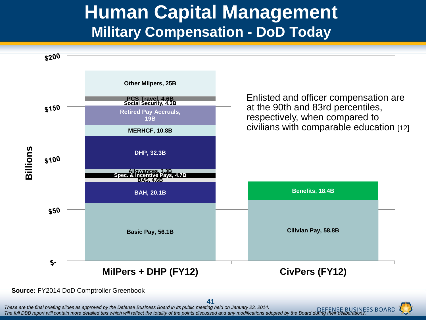#### **Human Capital Management Military Compensation - DoD Today**



#### **Source:** FY2014 DoD Comptroller Greenbook

*These are the final briefing slides as approved by the Defense Business Board in its public meeting held on January 23, 2014. The full DBB report will contain more detailed text which will reflect the totality of the points discussed and any modifications adopted by the Board during their deliberations.* 41 These are the final briefing slides as approved by the Defense Business Board in its public meeting held on January 23, 2014.

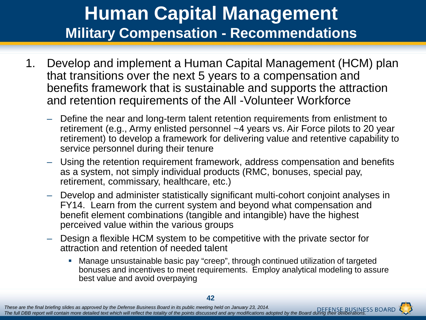### **Human Capital Management Military Compensation - Recommendations**

- 1. Develop and implement a Human Capital Management (HCM) plan that transitions over the next 5 years to a compensation and benefits framework that is sustainable and supports the attraction and retention requirements of the All -Volunteer Workforce
	- Define the near and long-term talent retention requirements from enlistment to retirement (e.g., Army enlisted personnel ~4 years vs. Air Force pilots to 20 year retirement) to develop a framework for delivering value and retentive capability to service personnel during their tenure
	- Using the retention requirement framework, address compensation and benefits as a system, not simply individual products (RMC, bonuses, special pay, retirement, commissary, healthcare, etc.)
	- Develop and administer statistically significant multi-cohort conjoint analyses in FY14. Learn from the current system and beyond what compensation and benefit element combinations (tangible and intangible) have the highest perceived value within the various groups
	- Design a flexible HCM system to be competitive with the private sector for attraction and retention of needed talent
		- Manage unsustainable basic pay "creep", through continued utilization of targeted bonuses and incentives to meet requirements. Employ analytical modeling to assure best value and avoid overpaying

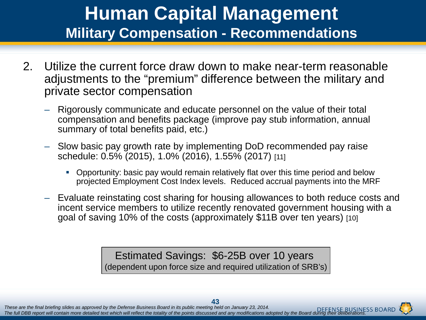#### **Human Capital Management Military Compensation - Recommendations**

- 2. Utilize the current force draw down to make near-term reasonable adjustments to the "premium" difference between the military and private sector compensation
	- Rigorously communicate and educate personnel on the value of their total compensation and benefits package (improve pay stub information, annual summary of total benefits paid, etc.)
	- Slow basic pay growth rate by implementing DoD recommended pay raise schedule: 0.5% (2015), 1.0% (2016), 1.55% (2017) [11]
		- Opportunity: basic pay would remain relatively flat over this time period and below projected Employment Cost Index levels. Reduced accrual payments into the MRF
	- Evaluate reinstating cost sharing for housing allowances to both reduce costs and incent service members to utilize recently renovated government housing with a goal of saving 10% of the costs (approximately \$11B over ten years) [10]

Estimated Savings: \$6-25B over 10 years (dependent upon force size and required utilization of SRB's)

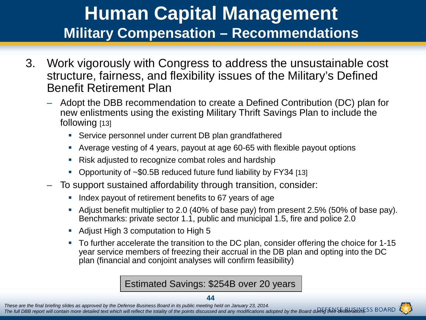### **Human Capital Management Military Compensation – Recommendations**

- 3. Work vigorously with Congress to address the unsustainable cost structure, fairness, and flexibility issues of the Military's Defined Benefit Retirement Plan
	- Adopt the DBB recommendation to create a Defined Contribution (DC) plan for new enlistments using the existing Military Thrift Savings Plan to include the following [13]
		- Service personnel under current DB plan grandfathered
		- Average vesting of 4 years, payout at age 60-65 with flexible payout options
		- Risk adjusted to recognize combat roles and hardship
		- Opportunity of ~\$0.5B reduced future fund liability by FY34 [13]
	- To support sustained affordability through transition, consider:
		- Index payout of retirement benefits to 67 years of age
		- Adjust benefit multiplier to 2.0 (40% of base pay) from present 2.5% (50% of base pay). Benchmarks: private sector 1.1, public and municipal 1.5, fire and police 2.0
		- Adjust High 3 computation to High 5
		- To further accelerate the transition to the DC plan, consider offering the choice for 1-15 year service members of freezing their accrual in the DB plan and opting into the DC plan (financial and conjoint analyses will confirm feasibility)

Estimated Savings: \$254B over 20 years

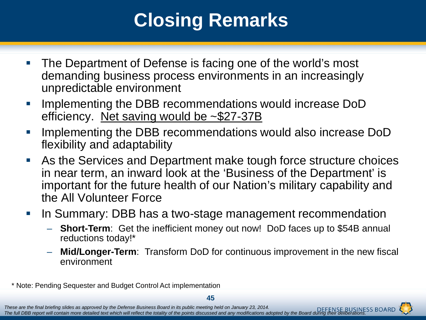# **Closing Remarks**

- The Department of Defense is facing one of the world's most demanding business process environments in an increasingly unpredictable environment
- Implementing the DBB recommendations would increase DoD efficiency. Net saving would be ~\$27-37B
- Implementing the DBB recommendations would also increase DoD flexibility and adaptability
- As the Services and Department make tough force structure choices in near term, an inward look at the 'Business of the Department' is important for the future health of our Nation's military capability and the All Volunteer Force
- **If the Summary: DBB has a two-stage management recommendation** 
	- **Short-Term**: Get the inefficient money out now! DoD faces up to \$54B annual reductions today!\*
	- **Mid/Longer-Term**: Transform DoD for continuous improvement in the new fiscal environment

\* Note: Pending Sequester and Budget Control Act implementation

**45**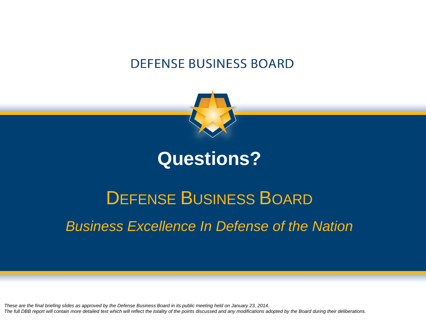#### **DEFENSE BUSINESS BOARD**



#### **Questions?**

# DEFENSE BUSINESS BOARD *Business Excellence In Defense of the Nation*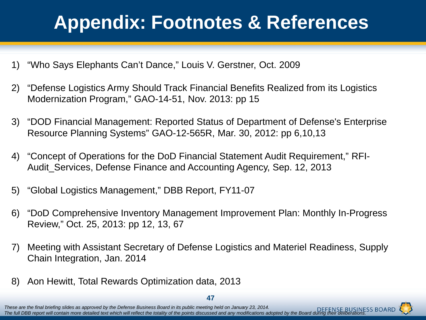# **Appendix: Footnotes & References**

- 1) "Who Says Elephants Can't Dance," Louis V. Gerstner, Oct. 2009
- 2) "Defense Logistics Army Should Track Financial Benefits Realized from its Logistics Modernization Program," GAO-14-51, Nov. 2013: pp 15
- 3) "DOD Financial Management: Reported Status of Department of Defense's Enterprise Resource Planning Systems" GAO-12-565R, Mar. 30, 2012: pp 6,10,13
- 4) "Concept of Operations for the DoD Financial Statement Audit Requirement," RFI-Audit\_Services, Defense Finance and Accounting Agency, Sep. 12, 2013
- 5) "Global Logistics Management," DBB Report, FY11-07
- 6) "DoD Comprehensive Inventory Management Improvement Plan: Monthly In-Progress Review," Oct. 25, 2013: pp 12, 13, 67
- 7) Meeting with Assistant Secretary of Defense Logistics and Materiel Readiness, Supply Chain Integration, Jan. 2014
- 8) Aon Hewitt, Total Rewards Optimization data, 2013



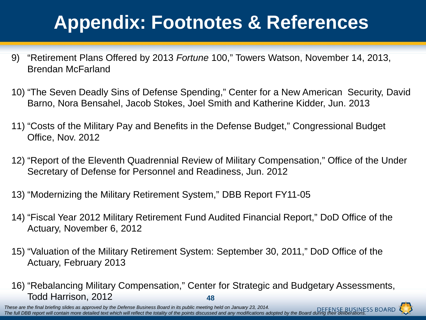# **Appendix: Footnotes & References**

- 9) "Retirement Plans Offered by 2013 *Fortune* 100," Towers Watson, November 14, 2013, Brendan McFarland
- 10) "The Seven Deadly Sins of Defense Spending," Center for a New American Security, David Barno, Nora Bensahel, Jacob Stokes, Joel Smith and Katherine Kidder, Jun. 2013
- 11) "Costs of the Military Pay and Benefits in the Defense Budget," Congressional Budget Office, Nov. 2012
- 12) "Report of the Eleventh Quadrennial Review of Military Compensation," Office of the Under Secretary of Defense for Personnel and Readiness, Jun. 2012
- 13) "Modernizing the Military Retirement System," DBB Report FY11-05
- 14) "Fiscal Year 2012 Military Retirement Fund Audited Financial Report," DoD Office of the Actuary, November 6, 2012
- 15) "Valuation of the Military Retirement System: September 30, 2011," DoD Office of the Actuary, February 2013
- **48** 16) "Rebalancing Military Compensation," Center for Strategic and Budgetary Assessments, Todd Harrison, 2012